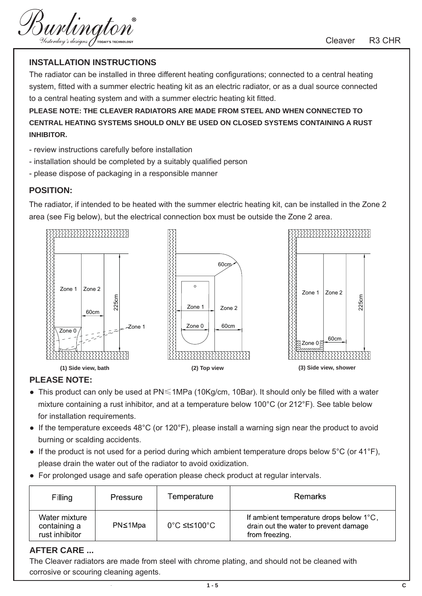Burlington

### **INSTALLATION INSTRUCTIONS**

The radiator can be installed in three different heating configurations; connected to a central heating system, fitted with a summer electric heating kit as an electric radiator, or as a dual source connected to a central heating system and with a summer electric heating kit fitted.

**PLEASE NOTE: THE CLEAVER RADIATORS ARE MADE FROM STEEL AND WHEN CONNECTED TO CENTRAL HEATING SYSTEMS SHOULD ONLY BE USED ON CLOSED SYSTEMS CONTAINING A RUST INHIBITOR.** 

- review instructions carefully before installation
- installation should be completed by a suitably qualified person
- please dispose of packaging in a responsible manner

#### **POSITION:**

The radiator, if intended to be heated with the summer electric heating kit, can be installed in the Zone 2 area (see Fig below), but the electrical connection box must be outside the Zone 2 area.



### **PLEASE NOTE:**

- This product can only be used at PN≤1MPa (10Kg/cm, 10Bar). It should only be filled with a water mixture containing a rust inhibitor, and at a temperature below 100°C (or 212°F). See table below for installation requirements.
- If the temperature exceeds 48°C (or 120°F), please install a warning sign near the product to avoid burning or scalding accidents.
- If the product is not used for a period during which ambient temperature drops below  $5^{\circ}$ C (or 41 $^{\circ}$ F), please drain the water out of the radiator to avoid oxidization.
- For prolonged usage and safe operation please check product at regular intervals.

| Filling                                         | Pressure | Temperature  | <b>Remarks</b>                                                                                     |
|-------------------------------------------------|----------|--------------|----------------------------------------------------------------------------------------------------|
| Water mixture<br>containing a<br>rust inhibitor | PN≤1Mpa  | 0°C ≤t≤100°C | If ambient temperature drops below 1°C,<br>drain out the water to prevent damage<br>from freezing. |

### **AFTER CARE ...**

The Cleaver radiators are made from steel with chrome plating, and should not be cleaned with corrosive or scouring cleaning agents.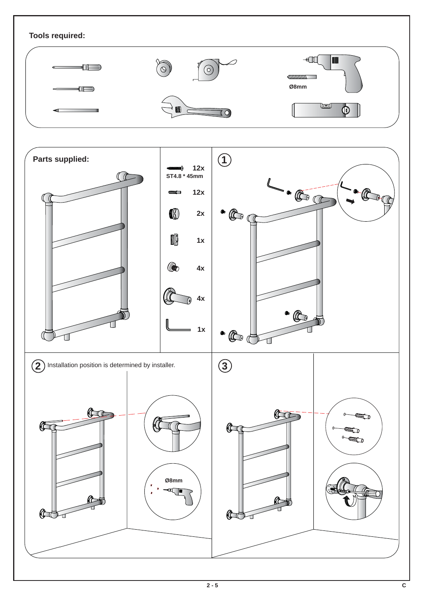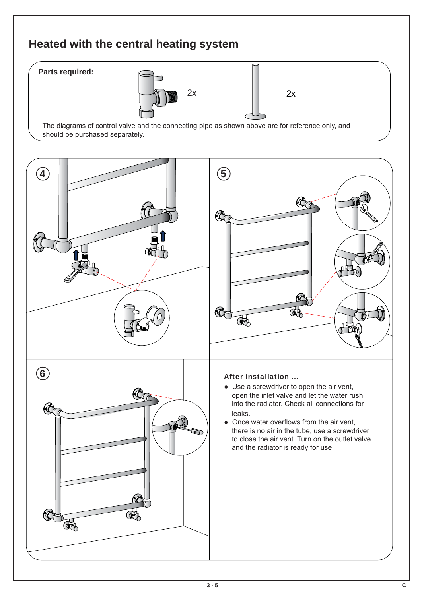# **Heated with the central heating system**

### **Parts required:**





The diagrams of control valve and the connecting pipe as shown above are for reference only, and should be purchased separately.

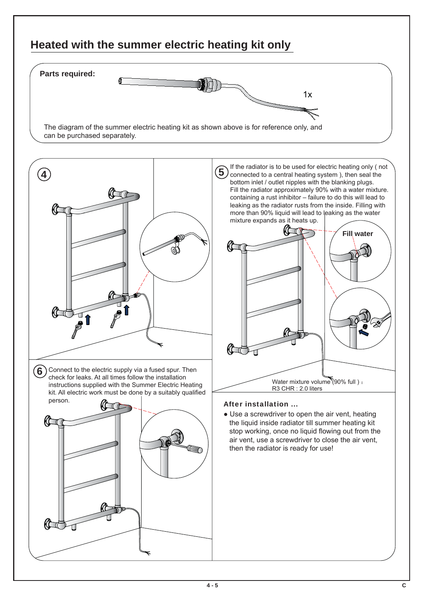## **Heated with the summer electric heating kit only**